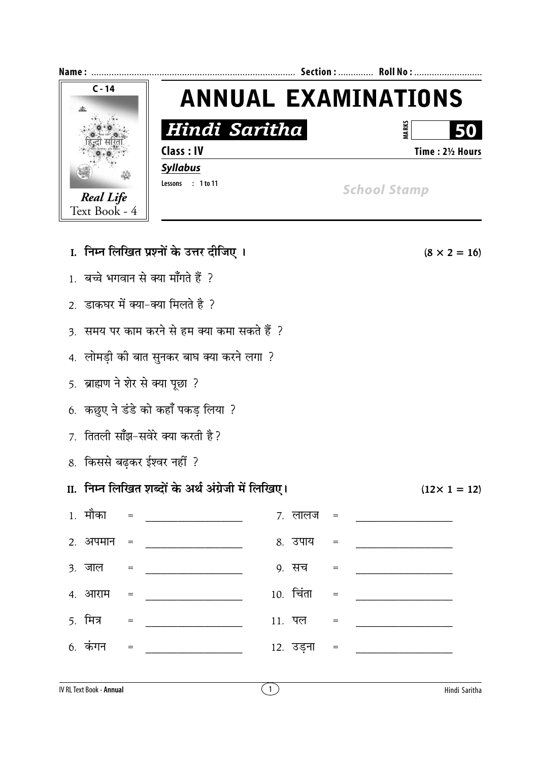

| 2. अपमान =       |  | 8. उपाय =     |  |
|------------------|--|---------------|--|
| 3 <i>.</i> जाल = |  | 9. सच =       |  |
| 4. आराम =        |  | $10.$ चिंता = |  |
| 5. मित्र =       |  | $11.$ पल =    |  |
| $6.$ कंगन =      |  | 12. उड़ना =   |  |
|                  |  |               |  |